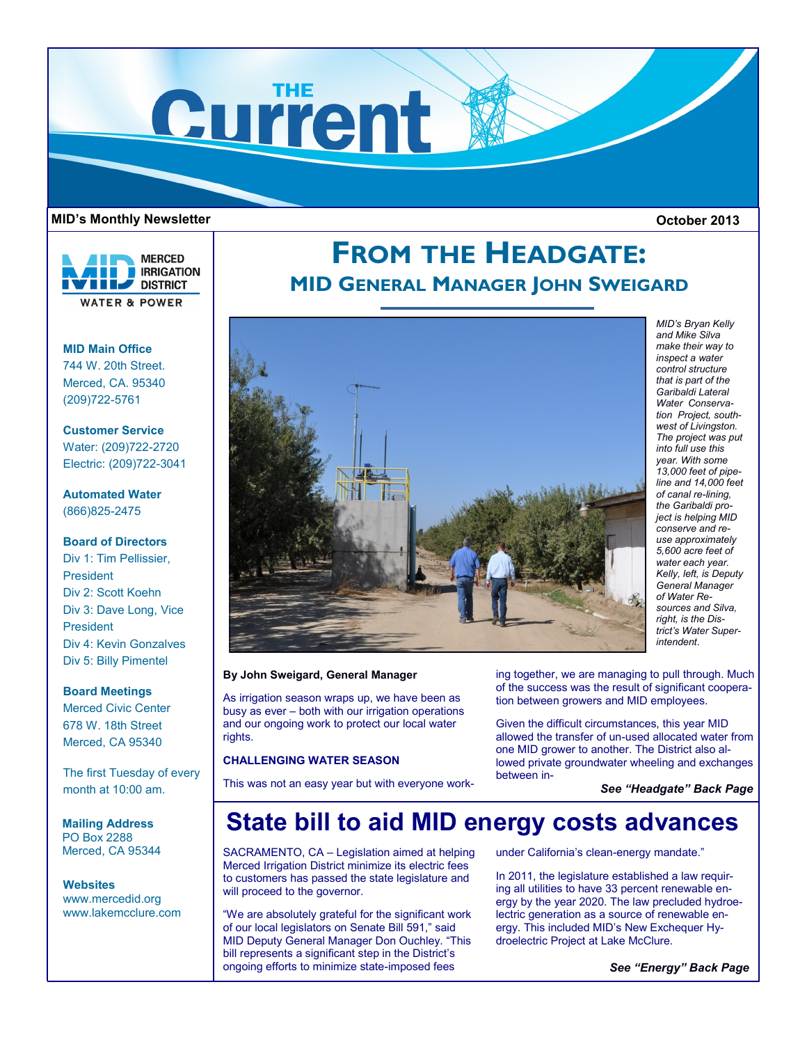

## **MID's Monthly Newsletter October 2013**



**MID Main Office**

744 W. 20th Street. Merced, CA. 95340 (209)722-5761

**Customer Service** Water: (209)722-2720 Electric: (209)722-3041

**Automated Water** (866)825-2475

**Board of Directors**

Div 1: Tim Pellissier, President Div 2: Scott Koehn Div 3: Dave Long, Vice President Div 4: Kevin Gonzalves Div 5: Billy Pimentel

**Board Meetings**

Merced Civic Center 678 W. 18th Street Merced, CA 95340

The first Tuesday of every month at 10:00 am.

**Mailing Address** PO Box 2288 Merced, CA 95344

**Websites** www.mercedid.org www.lakemcclure.com

# **FROM THE HEADGATE: MID GENERAL MANAGER JOHN SWEIGARD**



**By John Sweigard, General Manager** 

As irrigation season wraps up, we have been as busy as ever – both with our irrigation operations and our ongoing work to protect our local water rights.

## **CHALLENGING WATER SEASON**

This was not an easy year but with everyone work-

ing together, we are managing to pull through. Much of the success was the result of significant cooperation between growers and MID employees.

Given the difficult circumstances, this year MID allowed the transfer of un-used allocated water from one MID grower to another. The District also allowed private groundwater wheeling and exchanges between in-

*See "Headgate" Back Page*

## **State bill to aid MID energy costs advances**

SACRAMENTO, CA – Legislation aimed at helping Merced Irrigation District minimize its electric fees to customers has passed the state legislature and will proceed to the governor.

"We are absolutely grateful for the significant work of our local legislators on Senate Bill 591," said MID Deputy General Manager Don Ouchley. "This bill represents a significant step in the District's ongoing efforts to minimize state-imposed fees

under California's clean-energy mandate."

In 2011, the legislature established a law requiring all utilities to have 33 percent renewable energy by the year 2020. The law precluded hydroelectric generation as a source of renewable energy. This included MID's New Exchequer Hydroelectric Project at Lake McClure.

*See "Energy" Back Page*

*MID's Bryan Kelly and Mike Silva make their way to inspect a water control structure that is part of the Garibaldi Lateral Water Conservation Project, southwest of Livingston. The project was put into full use this year. With some 13,000 feet of pipeline and 14,000 feet of canal re-lining, the Garibaldi project is helping MID conserve and reuse approximately 5,600 acre feet of water each year. Kelly, left, is Deputy General Manager of Water Resources and Silva, right, is the District's Water Superintendent*.